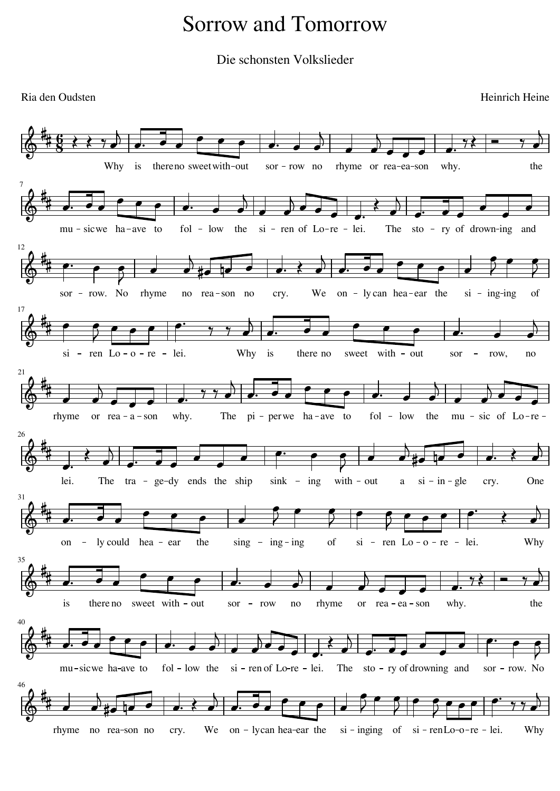## Sorrow and Tomorrow

Die schonsten Volkslieder